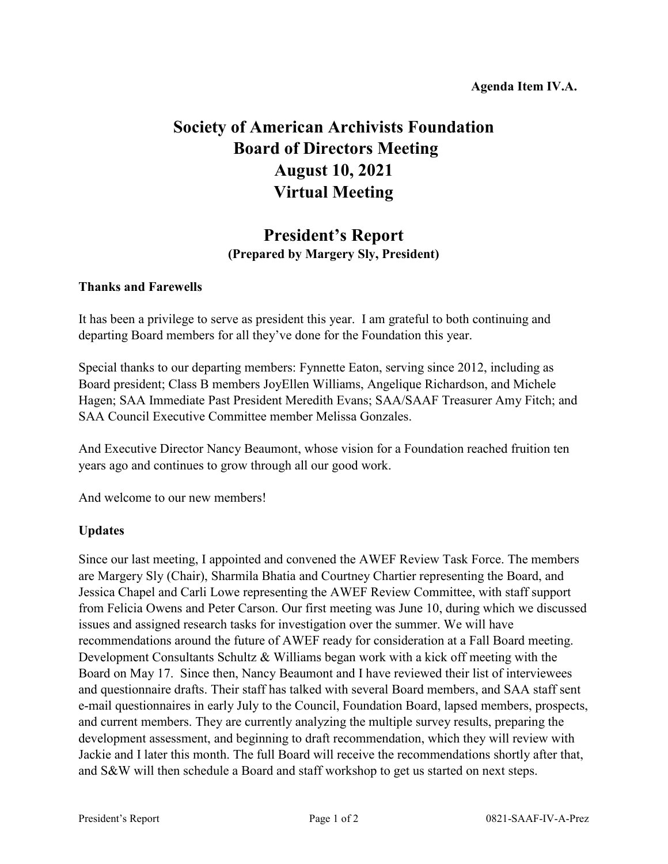## **Society of American Archivists Foundation Board of Directors Meeting August 10, 2021 Virtual Meeting**

## **President's Report (Prepared by Margery Sly, President)**

## **Thanks and Farewells**

It has been a privilege to serve as president this year. I am grateful to both continuing and departing Board members for all they've done for the Foundation this year.

Special thanks to our departing members: Fynnette Eaton, serving since 2012, including as Board president; Class B members JoyEllen Williams, Angelique Richardson, and Michele Hagen; SAA Immediate Past President Meredith Evans; SAA/SAAF Treasurer Amy Fitch; and SAA Council Executive Committee member Melissa Gonzales.

And Executive Director Nancy Beaumont, whose vision for a Foundation reached fruition ten years ago and continues to grow through all our good work.

And welcome to our new members!

## **Updates**

Since our last meeting, I appointed and convened the AWEF Review Task Force. The members are Margery Sly (Chair), Sharmila Bhatia and Courtney Chartier representing the Board, and Jessica Chapel and Carli Lowe representing the AWEF Review Committee, with staff support from Felicia Owens and Peter Carson. Our first meeting was June 10, during which we discussed issues and assigned research tasks for investigation over the summer. We will have recommendations around the future of AWEF ready for consideration at a Fall Board meeting. Development Consultants Schultz & Williams began work with a kick off meeting with the Board on May 17. Since then, Nancy Beaumont and I have reviewed their list of interviewees and questionnaire drafts. Their staff has talked with several Board members, and SAA staff sent e-mail questionnaires in early July to the Council, Foundation Board, lapsed members, prospects, and current members. They are currently analyzing the multiple survey results, preparing the development assessment, and beginning to draft recommendation, which they will review with Jackie and I later this month. The full Board will receive the recommendations shortly after that, and S&W will then schedule a Board and staff workshop to get us started on next steps.